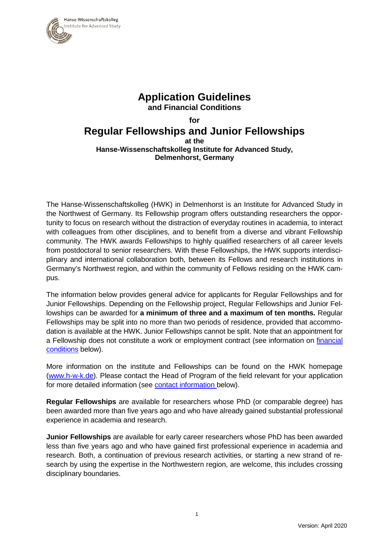

### **Application Guidelines and Financial Conditions**

#### **for Regular Fellowships and Junior Fellowships at the Hanse-Wissenschaftskolleg Institute for Advanced Study, Delmenhorst, Germany**

The Hanse-Wissenschaftskolleg (HWK) in Delmenhorst is an Institute for Advanced Study in the Northwest of Germany. Its Fellowship program offers outstanding researchers the opportunity to focus on research without the distraction of everyday routines in academia, to interact with colleagues from other disciplines, and to benefit from a diverse and vibrant Fellowship community. The HWK awards Fellowships to highly qualified researchers of all career levels from postdoctoral to senior researchers. With these Fellowships, the HWK supports interdisciplinary and international collaboration both, between its Fellows and research institutions in Germany's Northwest region, and within the community of Fellows residing on the HWK campus.

The information below provides general advice for applicants for Regular Fellowships and for Junior Fellowships. Depending on the Fellowship project, Regular Fellowships and Junior Fellowships can be awarded for **a minimum of three and a maximum of ten months.** Regular Fellowships may be split into no more than two periods of residence, provided that accommodation is available at the HWK. Junior Fellowships cannot be split. Note that an appointment for a Fellowship does not constitute a work or employment contract (see information on [financial](#page-4-0)  [conditions](#page-4-0) below).

More information on the institute and Fellowships can be found on the HWK homepage [\(www.h-w-k.de\)](http://www.h-w-k.de/). Please contact the Head of Program of the field relevant for your application for more detailed information (see [contact information b](#page-4-1)elow).

**Regular Fellowships** are available for researchers whose PhD (or comparable degree) has been awarded more than five years ago and who have already gained substantial professional experience in academia and research.

**Junior Fellowships** are available for early career researchers whose PhD has been awarded less than five years ago and who have gained first professional experience in academia and research. Both, a continuation of previous research activities, or starting a new strand of research by using the expertise in the Northwestern region, are welcome, this includes crossing disciplinary boundaries.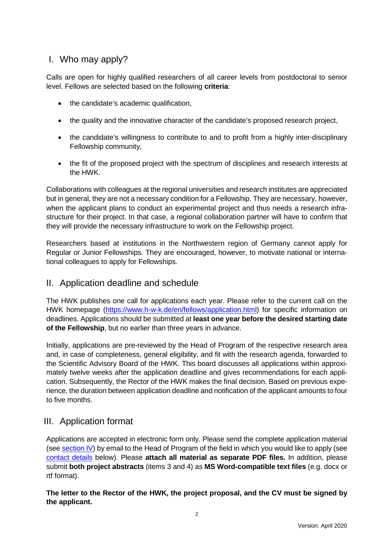# I. Who may apply?

Calls are open for highly qualified researchers of all career levels from postdoctoral to senior level. Fellows are selected based on the following **criteria**:

- the candidate's academic qualification,
- the quality and the innovative character of the candidate's proposed research project,
- the candidate's willingness to contribute to and to profit from a highly inter-disciplinary Fellowship community,
- the fit of the proposed project with the spectrum of disciplines and research interests at the HWK.

Collaborations with colleagues at the regional universities and research institutes are appreciated but in general, they are not a necessary condition for a Fellowship. They are necessary, however, when the applicant plans to conduct an experimental project and thus needs a research infrastructure for their project. In that case, a regional collaboration partner will have to confirm that they will provide the necessary infrastructure to work on the Fellowship project.

Researchers based at institutions in the Northwestern region of Germany cannot apply for Regular or Junior Fellowships. They are encouraged, however, to motivate national or international colleagues to apply for Fellowships.

#### II. Application deadline and schedule

The HWK publishes one call for applications each year. Please refer to the current call on the HWK homepage [\(https://www.h-w-k.de/en/fellows/application.html\)](https://www.h-w-k.de/en/fellows/application.html) for specific information on deadlines. Applications should be submitted at **least one year before the desired starting date of the Fellowship**, but no earlier than three years in advance.

Initially, applications are pre-reviewed by the Head of Program of the respective research area and, in case of completeness, general eligibility, and fit with the research agenda, forwarded to the Scientific Advisory Board of the HWK. This board discusses all applications within approximately twelve weeks after the application deadline and gives recommendations for each application. Subsequently, the Rector of the HWK makes the final decision. Based on previous experience, the duration between application deadline and notification of the applicant amounts to four to five months.

#### III. Application format

Applications are accepted in electronic form only. Please send the complete application material (see [section IV\)](#page-2-0) by email to the Head of Program of the field in which you would like to apply (see [contact details](#page-4-1) below). Please **attach all material as separate PDF files.** In addition, please submit **both project abstracts** (items 3 and 4) as **MS Word-compatible text files** (e.g. docx or rtf format).

**The letter to the Rector of the HWK, the project proposal, and the CV must be signed by the applicant.**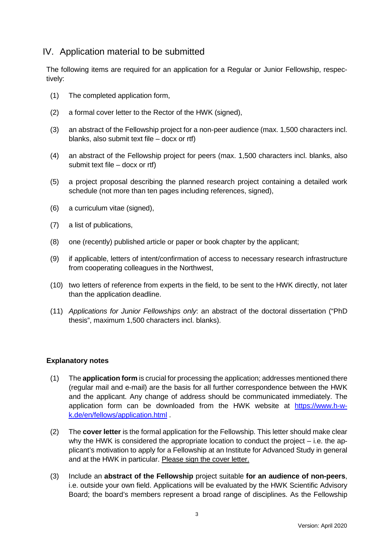## <span id="page-2-0"></span>IV. Application material to be submitted

The following items are required for an application for a Regular or Junior Fellowship, respectively:

- (1) The completed application form,
- (2) a formal cover letter to the Rector of the HWK (signed),
- (3) an abstract of the Fellowship project for a non-peer audience (max. 1,500 characters incl. blanks, also submit text file – docx or rtf)
- (4) an abstract of the Fellowship project for peers (max. 1,500 characters incl. blanks, also submit text file – docx or rtf)
- (5) a project proposal describing the planned research project containing a detailed work schedule (not more than ten pages including references, signed),
- (6) a curriculum vitae (signed),
- (7) a list of publications,
- (8) one (recently) published article or paper or book chapter by the applicant;
- (9) if applicable, letters of intent/confirmation of access to necessary research infrastructure from cooperating colleagues in the Northwest,
- (10) two letters of reference from experts in the field, to be sent to the HWK directly, not later than the application deadline.
- (11) *Applications for Junior Fellowships only*: an abstract of the doctoral dissertation ("PhD thesis", maximum 1,500 characters incl. blanks).

#### **Explanatory notes**

- (1) The **application form** is crucial for processing the application; addresses mentioned there (regular mail and e-mail) are the basis for all further correspondence between the HWK and the applicant. Any change of address should be communicated immediately. The application form can be downloaded from the HWK website at [https://www.h-w](https://www.h-w-k.de/en/fellows/application.html)[k.de/en/fellows/application.html](https://www.h-w-k.de/en/fellows/application.html) .
- (2) The **cover letter** is the formal application for the Fellowship. This letter should make clear why the HWK is considered the appropriate location to conduct the project – i.e. the applicant's motivation to apply for a Fellowship at an Institute for Advanced Study in general and at the HWK in particular. Please sign the cover letter.
- (3) Include an **abstract of the Fellowship** project suitable **for an audience of non-peers**, i.e. outside your own field. Applications will be evaluated by the HWK Scientific Advisory Board; the board's members represent a broad range of disciplines. As the Fellowship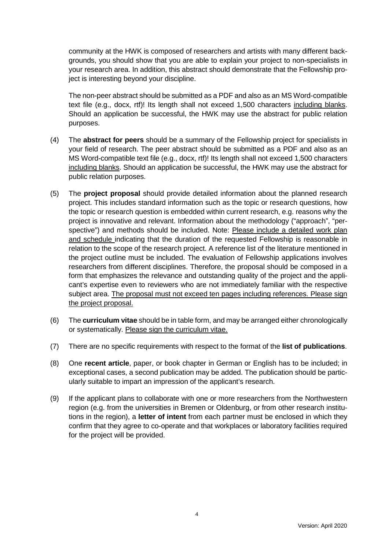community at the HWK is composed of researchers and artists with many different backgrounds, you should show that you are able to explain your project to non-specialists in your research area. In addition, this abstract should demonstrate that the Fellowship project is interesting beyond your discipline.

The non-peer abstract should be submitted as a PDF and also as an MS Word-compatible text file (e.g., docx, rtf)! Its length shall not exceed 1,500 characters including blanks. Should an application be successful, the HWK may use the abstract for public relation purposes.

- (4) The **abstract for peers** should be a summary of the Fellowship project for specialists in your field of research. The peer abstract should be submitted as a PDF and also as an MS Word-compatible text file (e.g., docx, rtf)! Its length shall not exceed 1,500 characters including blanks. Should an application be successful, the HWK may use the abstract for public relation purposes.
- (5) The **project proposal** should provide detailed information about the planned research project. This includes standard information such as the topic or research questions, how the topic or research question is embedded within current research, e.g. reasons why the project is innovative and relevant. Information about the methodology ("approach", "perspective") and methods should be included. Note: Please include a detailed work plan and schedule indicating that the duration of the requested Fellowship is reasonable in relation to the scope of the research project. A reference list of the literature mentioned in the project outline must be included. The evaluation of Fellowship applications involves researchers from different disciplines. Therefore, the proposal should be composed in a form that emphasizes the relevance and outstanding quality of the project and the applicant's expertise even to reviewers who are not immediately familiar with the respective subject area. The proposal must not exceed ten pages including references. Please sign the project proposal.
- (6) The **curriculum vitae** should be in table form, and may be arranged either chronologically or systematically. Please sign the curriculum vitae.
- (7) There are no specific requirements with respect to the format of the **list of publications**.
- (8) One **recent article**, paper, or book chapter in German or English has to be included; in exceptional cases, a second publication may be added. The publication should be particularly suitable to impart an impression of the applicant's research.
- (9) If the applicant plans to collaborate with one or more researchers from the Northwestern region (e.g. from the universities in Bremen or Oldenburg, or from other research institutions in the region), a **letter of intent** from each partner must be enclosed in which they confirm that they agree to co-operate and that workplaces or laboratory facilities required for the project will be provided.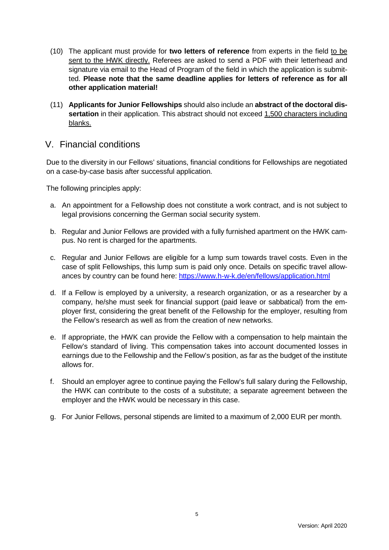- (10) The applicant must provide for **two letters of reference** from experts in the field to be sent to the HWK directly. Referees are asked to send a PDF with their letterhead and signature via email to the Head of Program of the field in which the application is submitted. **Please note that the same deadline applies for letters of reference as for all other application material!**
- (11) **Applicants for Junior Fellowships** should also include an **abstract of the doctoral dissertation** in their application. This abstract should not exceed 1,500 characters including blanks.

#### <span id="page-4-0"></span>V. Financial conditions

Due to the diversity in our Fellows' situations, financial conditions for Fellowships are negotiated on a case-by-case basis after successful application.

The following principles apply:

- a. An appointment for a Fellowship does not constitute a work contract, and is not subject to legal provisions concerning the German social security system.
- b. Regular and Junior Fellows are provided with a fully furnished apartment on the HWK campus. No rent is charged for the apartments.
- c. Regular and Junior Fellows are eligible for a lump sum towards travel costs. Even in the case of split Fellowships, this lump sum is paid only once. Details on specific travel allowances by country can be found here:<https://www.h-w-k.de/en/fellows/application.html>
- d. If a Fellow is employed by a university, a research organization, or as a researcher by a company, he/she must seek for financial support (paid leave or sabbatical) from the employer first, considering the great benefit of the Fellowship for the employer, resulting from the Fellow's research as well as from the creation of new networks.
- e. If appropriate, the HWK can provide the Fellow with a compensation to help maintain the Fellow's standard of living. This compensation takes into account documented losses in earnings due to the Fellowship and the Fellow's position, as far as the budget of the institute allows for.
- f. Should an employer agree to continue paying the Fellow's full salary during the Fellowship, the HWK can contribute to the costs of a substitute; a separate agreement between the employer and the HWK would be necessary in this case.
- <span id="page-4-1"></span>g. For Junior Fellows, personal stipends are limited to a maximum of 2,000 EUR per month.